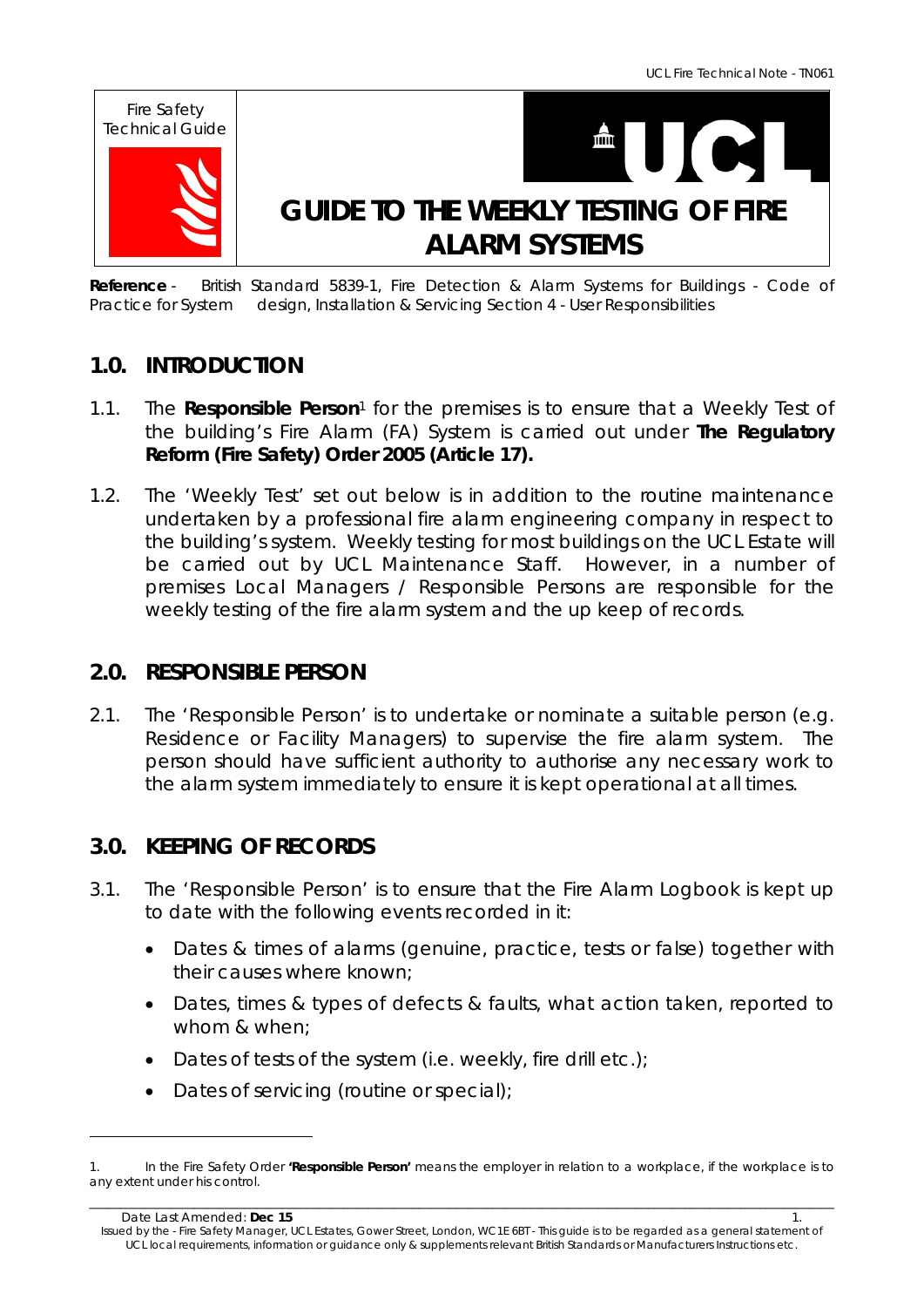

**Reference** - *British Standard 5839-1, Fire Detection & Alarm Systems for Buildings - Code of Practice for System design, Installation & Servicing Section 4 - User Responsibilities* 

# **1.0. INTRODUCTION**

- 1.1. The **Responsible Person**1 for the premises is to ensure that a Weekly Test of the building's Fire Alarm (FA) System is carried out under **The Regulatory Reform (Fire Safety) Order 2005 (Article 17).**
- 1.2. The 'Weekly Test' set out below is in addition to the routine maintenance undertaken by a professional fire alarm engineering company in respect to the building's system. Weekly testing for most buildings on the UCL Estate will be carried out by UCL Maintenance Staff. However, in a number of premises Local Managers / Responsible Persons are responsible for the weekly testing of the fire alarm system and the up keep of records.

# **2.0. RESPONSIBLE PERSON**

2.1. The 'Responsible Person' is to undertake or nominate a suitable person *(e.g. Residence or Facility Managers)* to supervise the fire alarm system. The person should have sufficient authority to authorise any necessary work to the alarm system immediately to ensure it is kept operational at all times.

# **3.0. KEEPING OF RECORDS**

- 3.1. The 'Responsible Person' is to ensure that the Fire Alarm Logbook is kept up to date with the following events recorded in it:
	- Dates & times of alarms (genuine, practice, tests or false) together with their causes where known;
	- Dates, times & types of defects & faults, what action taken, reported to whom & when;
	- Dates of tests of the system (i.e. weekly, fire drill etc.);
	- Dates of servicing (routine or special);

\_\_\_\_\_\_\_\_\_\_\_\_\_\_\_\_\_\_\_\_\_\_\_\_\_\_\_\_\_\_\_\_\_\_\_\_\_\_\_\_\_\_\_\_\_\_\_\_\_\_\_\_\_\_\_\_\_\_\_\_\_\_\_\_\_\_\_\_\_\_\_\_\_\_\_\_\_\_\_\_\_\_\_\_\_\_\_\_\_\_\_\_\_\_\_\_\_\_\_\_\_\_\_\_\_\_\_\_\_\_\_\_\_\_\_\_\_\_\_\_ 1. In the Fire Safety Order **'Responsible Person'** means the employer in relation to a workplace, if the workplace is to any extent under his control.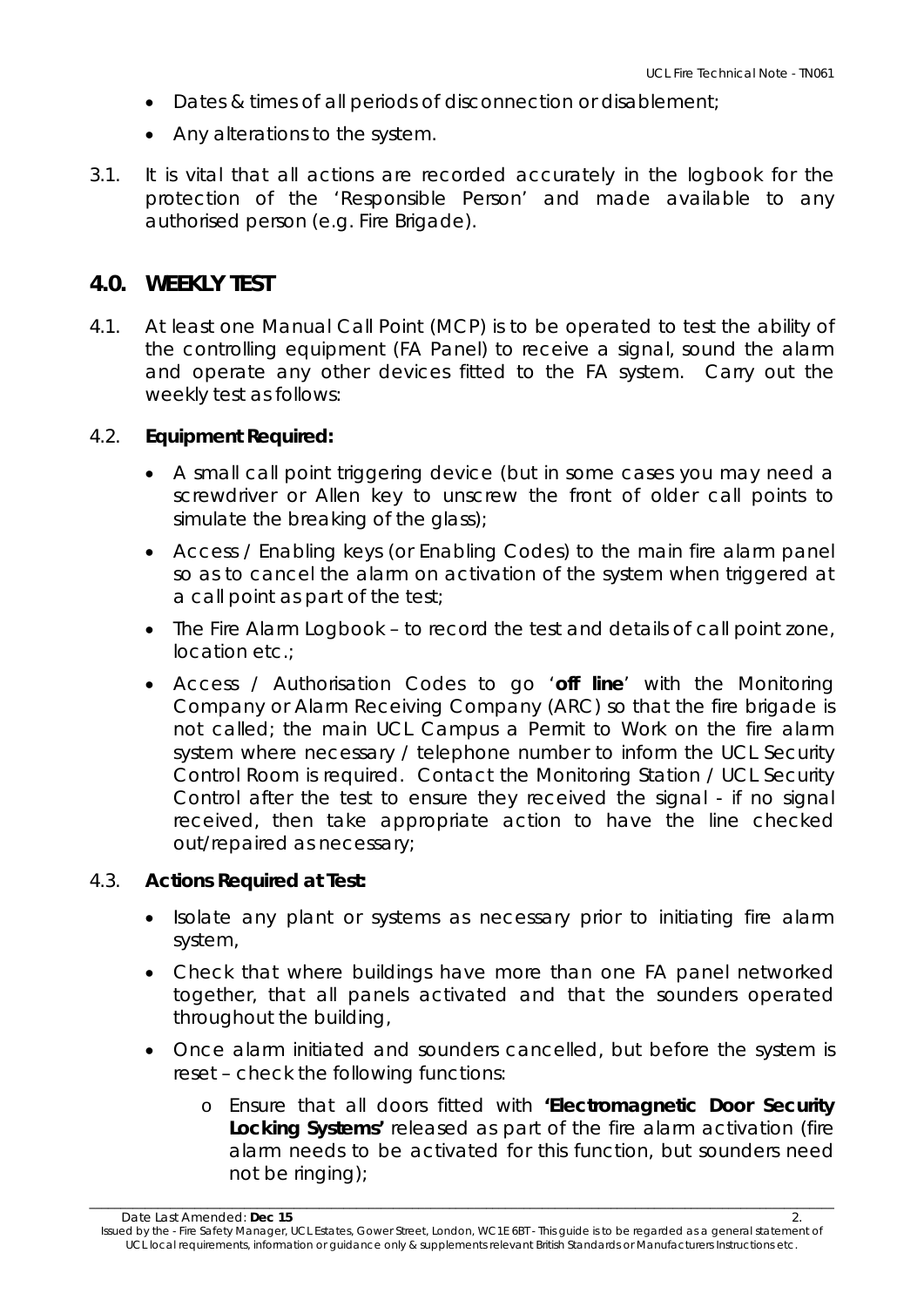- Dates & times of all periods of disconnection or disablement;
- Any alterations to the system.
- 3.1. It is vital that all actions are recorded accurately in the logbook for the protection of the 'Responsible Person' and made available to any authorised person (e.g. Fire Brigade).

## **4.0. WEEKLY TEST**

4.1. At least one Manual Call Point (MCP) is to be operated to test the ability of the controlling equipment (FA Panel) to receive a signal, sound the alarm and operate any other devices fitted to the FA system. Carry out the weekly test as follows:

## 4.2. **Equipment Required:**

- A small call point triggering device (but in some cases you may need a screwdriver or Allen key to unscrew the front of older call points to simulate the breaking of the glass);
- Access / Enabling keys (or Enabling Codes) to the main fire alarm panel so as to cancel the alarm on activation of the system when triggered at a call point as part of the test;
- The Fire Alarm Logbook to record the test and details of call point zone, location etc.;
- Access / Authorisation Codes to go '**off line**' with the Monitoring Company or Alarm Receiving Company (ARC) so that the fire brigade is not called; the main UCL Campus a Permit to Work on the fire alarm system where necessary / telephone number to inform the UCL Security Control Room is required. Contact the Monitoring Station / UCL Security Control after the test to ensure they received the signal - if no signal received, then take appropriate action to have the line checked out/repaired as necessary;

## 4.3. **Actions Required at Test:**

- Isolate any plant or systems as necessary prior to initiating fire alarm system,
- Check that where buildings have more than one FA panel networked together, that all panels activated and that the sounders operated throughout the building,
- Once alarm initiated and sounders cancelled, but before the system is reset – check the following functions:
	- o Ensure that all doors fitted with **'Electromagnetic Door Security Locking Systems'** released as part of the fire alarm activation (fire alarm needs to be activated for this function, but sounders need not be ringing);